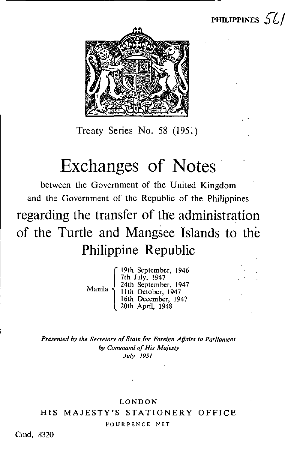

PHILIPPINES  $56/$ 

Treaty Series No. 58 (1951)

# Exchanges of Notes

between the Government of the United Kingdom and the Government of the Republic of the Philippines regarding the transfer of the administration of the Turtle and Mangsee Islands to the Philippine Republic

> Manila 19th September, 1946 7th July, 1947 24th September, 1947 11th October, 1947 16th December, 1947 20th April, 1948

Presented by the Secretary of Slate for Foreign Affairs to Parliament by Command of His Majesty July 1951

## LONDON HIS MAJESTY'S STATIONERY OFFICE

FOURPENCE NET

Cmd. 8320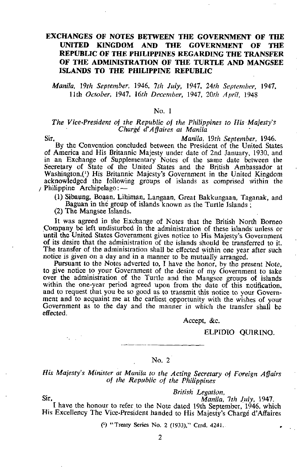## EXCHANGES OF NOTES BETWEEN THE GOVERNMENT OF THE UNITED KINGDOM AND THE GOVERNMENT OF THE REPUBLIC OF THE PHILIPPINES REGARDING THE TRANSFER OF THE ADMINISTRATION OF THE TURTLE AND MANGSEE ISLANDS TO THE PHILIPPINE REPUBLIC

Manila, 19th September, 1946, 7th July, 1947, 24th September, 1947, 11th October, 1947, 16th December, 1947, 20th April, 1948

#### No. <sup>I</sup>

#### The Vice-President of the Republic of the Philippines to His Majesty's Charge d'Affaires at Manila

Sir, Manila, 19th September, 1946.

By the Convention concluded between the President of the United States of America and His Britannic Majesty under date of 2nd January, 1930, and in an Exchange of Supplementary Notes of the same date between the Secretary of State of the United States and the British Ambassador at Washington,(') His Britannic Majesty's Government in the United Kingdom acknowledged the following groups of islands as comprised within the Philippine Archipelago:-

(1) Sibaung, Boaan, Lihiman, Langaan, Great Bakkungaan, Taganak, and Baguan in the group of islands known as the Turtle Islands ;

(2) The Mangsee Islands.

It was agreed in the Exchange of Notes that the British North Borneo Company be left undisturbed in the administration of these islands unless or until the United States Government gives notice to His Majesty's Government of its desire that the administration of the islands should be transferred to it. The transfer of the administration shall be effected within one year after such notice is given on a day and in a manner to be mutually arranged.

Pursuant to the Notes adverted to, <sup>I</sup> have the honor, by the present Note, to give notice to your Government of the desire of my Government to take over the administration of the Turtle and the Mangsee groups of islands within the one-year period agreed upon from the date of this notification, and to request that you be so good as to transmit this notice to your Government and to acquaint me at the earliest opportunity with the wishes of your Government as to the day and the manner in which the transfer shall be effected.

Accept, &c.

#### ELPIDIO QUIRINO.

## No. 2

His Majesty's Minister at Manila to the Acting Secretary of Foreign Affairs of the Republic of the Philippines

British Legation,

Sir, Manila, 7th July, 1947.

<sup>I</sup> have the honour to refer to the Note dated 19th September, 1946, which His Excellency The Vice-President handed to His Majesty's Charge d'Affaires

(1) "Treaty Series No. 2 (1933)," Cmd. 4241..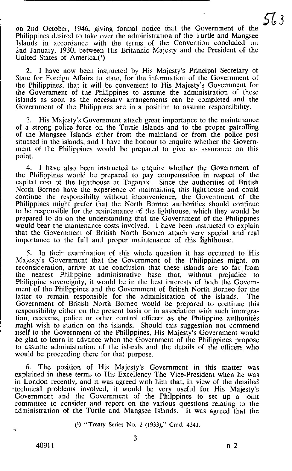on 2nd October, 1946, giving formal notice that the Government of the Philippines desired to take over the administration of the Turtle and Mangsee Islands in accordance with the terms of the Convention concluded on 2nd January, 1930, between His Britannic Majesty and the President of the United States of America.(')

2. <sup>I</sup> have now been instructed by His Majesty's Principal Secretary of State for Foreign Affairs to state, for the information of the Government of the Philippines, that it will be convenient to His Majesty's Government for the Government of the Philippines to assume the administration of these islands as soon as the necessary arrangements can be completed and the Government of the Philippines are in a position to assume responsibility.

3. His Majesty's Government attach great importance to the maintenance of a strong police force on the Turtle Islands and to the proper patrolling of the Mangsee islands either from the mainland or from the police post situated in the islands, and I have the honour to enquire whether the Government of the Philippines would be prepared to give an assurance on this point.

4. <sup>I</sup> have also been instructed to enquire whether the Government of the Philippines would be prepared to pay compensation in respect of the capital cost of the lighthouse at Taganak. Since the authorities of British North Borneo have the experience of maintaining this lighthouse and could continue the responsibilty without inconvenience , the Government of the Philippines might prefer that the North Borneo authorities should continue to be responsible for the maintenance of the lighthouse , which they would be prepared to do on the understanding that the Government of the Philippines would bear the mantenance costs involved. I have been instructed to explain that the Government of British North Borneo attach very special and real importance to the full and proper maintenance of this lighthouse.

5. In their examination of this whole question it has occurred to His Majesty's Government that the Government of the Philippines might, on reconsideration, arrive at the conclusion that these islands are so far from the nearest Philippine administrative base that, without prejudice to Philippine sovereignty, it would be in the best interests of both the Government of the Philippines and the Government of British North Borneo for the latter to remain responsible for the administration of the islands. The Government of British North Borneo would be prepared to continue this responsibility either on the present basis or in association with such immigration, customs, police or other control officers as the Philippine authorities might wish to station on the islands. Should this suggestion not commend itself to the Government of the Philippines, His Majesty's Government would be glad to learn in advance when the Government of the Philippines propose to assume administration of the islands and the details of the officers who would be proceeding there for that purpose.

6. The position of His Majesty's Government in this matter was explained in these terms to His Excellency The Vice-President when he was in London recently, and it was agreed with him that, in view of the detailed technical problems involved, it would be very useful for His Majesty's Government and the Government of the Philppines to set up a joint committee to consider and report on the various questions relating to the administration of the Turtle and Mangsee Islands. It was agreed that the

( 1) "Treaty Series No. 2 (1933)," Cmd. 4241.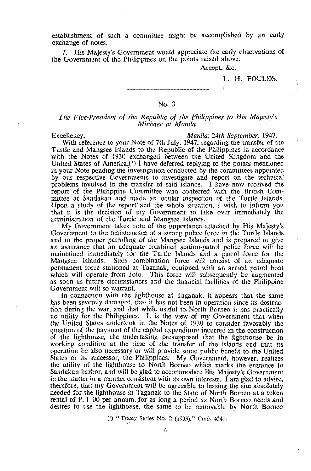establishment of such a committee might be accomplished by an early exchange of notes.

7. His Majesty's Government would appreciate the early observations of the Government of the Philippines on the points raised above.

Accept, &c.

L. H. FOULDS.

## No. 3

#### The Vice-President of the Republic of the Philippines to His Majesty's Minister at Manila

Excellency, Excellency, Excellency, Excellency, Excellency, Excellency, Excellency, Eq. 24th September, 1947.

With reference to your Note of 7th July, 1947, regarding the transfer of the Turtle and Mangsee Islands to the Republic of the Philippines in accordance with the Notes of 1930 exchanged between the United Kingdom and the United States of America.(') <sup>I</sup> have deferred replying to the points mentioned in your Note pending the investigation conducted by the committees appointed by our respective Governments to investigate and report on the technical problems involved in the transfer of said islands. I have now received the report of the Philippine Committee who conferred with the British Committee at Sandakan and made an ocular inspection of the Turtle Islands. Upon a study of the report and the whole situation, <sup>I</sup> wish to inform you that it is the decision of my Government to take over immediately the administration of the Turtle and Mangsee Islands.

My Government takes note of the importance attached by His Majesty's Government to the maintenance of a strong police force in the Turtle Islands and to the proper patrolling of the Mangsee Islands and is prepared to give an assurance that an adequate combined station-patrol police force will be maintained immediately for the Turtle Islands and a patrol force for the Mangsee Islands. Such combination force will consist of an adequate permanent force stationed at Taganak, equipped with an armed patrol boat which will operate from Jolo. This force will subsequently be augmented as soon as future circumstances and the financial facilities of the Philippine Government will so warrant.

In connection with the lighthouse at Taganak , it appears that the same has been severely damaged, that it has not been in operation since its destruction during the war, and that while useful to. North Borneo it has practically no utility for the Philippines. It is the view of my Government that when the United States undertook in the Notes of 1930 to consider favorably the question of the payment of the capital expenditure incurred in the construction of the lighthouse, the undertaking presupposed that the lighthouse be in working condition at the time of the transfer of the islands and that its operation be also necessary " or will provide some public benefit to the United States or its successor, the Philippines. My Government, however, realizes the utility of the lighthouse to North Borneo which marks the entrance to Sandakan harbor, and will be glad to accommodate His Majesty's Government in the matter in <sup>a</sup> manner consistent with its own interests . <sup>I</sup> am glad to advise, therefore, that my Government will be agreeable to leasing the site absolutely needed for the lighthouse in Taganak to the State of North Borneo at a token rental of P.  $1.00$  per annum, for as long a period as North Borneo needs and desires to use the lighthouse, the same to be removable by North Borneo

(1) " Treaty Series No. 2 (1933 )," Cmd. 4241.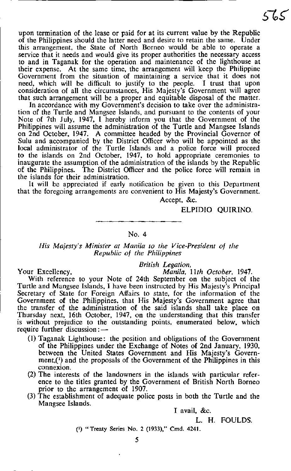upon termination of the lease or paid for at its current value by the Republic of the Philippines should the latter need and desire to retain the same. Under this arrangement, the State of North Borneo would be able to operate a service that it needs and would give its proper authorities the necessary access to and in Taganak for the operation and maintenance of the lighthouse at their expense. At the same time, the arrangement will keep the Philippine Government from the situation of maintaining a service that it does not need, which will be difficult to justify to the people. <sup>I</sup> trust that upon consideration of all the circumstances, His Majesty's Government will agree that such arrangement will be a proper and equitable disposal of the matter.

In accordance with my Government's decision to take over the administration of the Turtle and Mangsee Islands, and pursuant to the contents of your Note of 7th July, 1947, <sup>1</sup> hereby inform you that the Government of the Philippines will assume the administration of the Turtle and Mangsee Islands on 2nd October, 1947. A committee headed by the Provincial Governor of Sulu and accompanied by the District Officer who will be appointed as the local administrator of the Turtle Islands and a police force will proceed to the islands on 2nd October, 1947, to hold appropriate ceremonies to inaugurate the assumption of the administration of the islands by the Republic of the Philippines. The District Officer and the police force will remain in the islands for their administration.

It will be appreciated if early notification be given to this Department that the foregoing arrangements are convenient to His Majesty's Government.

Accept, &c.

British Legation,

## ELPIDIO QUIRINO.

#### No. 4

#### His Majesty's Minister at Manila to the Vice-President of the Republic of the Philippines

Your Excellency, Manila, 11th October, 1947.

With reference to your Note of 24th September on the subject of the Turtle and Mangsee Islands, <sup>I</sup> have been instructed by His Majesty's Principal Secretary of State for Foreign Affairs to state, for the information of the Government of the Philippines, that His Majesty's Government agree that the transfer of the administration of the said islands shall take place on Thursday next, 16th October, 1947, on the understanding that this transfer is without prejudice to the outstanding points, enumerated below, which require further discussion:-

- (1) Taganak Lighthouse: the position and obligations of the Government of the Philippines under the Exchange of Notes of 2nd January, 1930, between the United States Government and His Majesty's Govern $ment<sub>i</sub>(<sup>i</sup>)$  and the proposals of the Government of the Philippines in this connexion.
- (2) The interests of the landowners in the islands with particular reference to the titles granted by the Government of British North Borneo prior to the arrangement of 1907.
- (3) The establishment of adequate police posts in both the Turtle and the Mangsee Islands.

I avail, &c.

L. H. FOULDS.

(1) "Treaty Series No. 2 (1933)," Cmd. 4241.